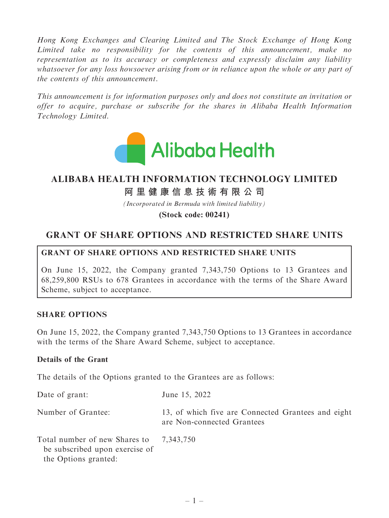Hong Kong Exchanges and Clearing Limited and The Stock Exchange of Hong Kong Limited take no responsibility for the contents of this announcement, make no representation as to its accuracy or completeness and expressly disclaim any liability whatsoever for any loss howsoever arising from or in reliance upon the whole or any part of the contents of this announcement.

This announcement is for information purposes only and does not constitute an invitation or offer to acquire, purchase or subscribe for the shares in Alibaba Health Information Technology Limited.



# **ALIBABA HEALTH INFORMATION TECHNOLOGY LIMITED**

**阿里健康信息技術有限公司**

*(Incorporated in Bermuda with limited liability)*

**(Stock code: 00241)**

## GRANT OF SHARE OPTIONS AND RESTRICTED SHARE UNITS

#### GRANT OF SHARE OPTIONS AND RESTRICTED SHARE UNITS

On June 15, 2022, the Company granted 7,343,750 Options to 13 Grantees and 68,259,800 RSUs to 678 Grantees in accordance with the terms of the Share Award Scheme, subject to acceptance.

#### SHARE OPTIONS

On June 15, 2022, the Company granted 7,343,750 Options to 13 Grantees in accordance with the terms of the Share Award Scheme, subject to acceptance.

#### Details of the Grant

The details of the Options granted to the Grantees are as follows:

| Date of grant:                                                                          | June 15, 2022                                                                    |
|-----------------------------------------------------------------------------------------|----------------------------------------------------------------------------------|
| Number of Grantee:                                                                      | 13, of which five are Connected Grantees and eight<br>are Non-connected Grantees |
| Total number of new Shares to<br>be subscribed upon exercise of<br>the Options granted: | 7,343,750                                                                        |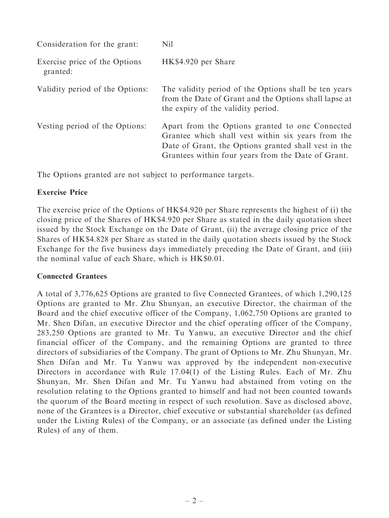| Consideration for the grant:              | Nil                                                                                                                                                                                                                 |
|-------------------------------------------|---------------------------------------------------------------------------------------------------------------------------------------------------------------------------------------------------------------------|
| Exercise price of the Options<br>granted: | HK\$4.920 per Share                                                                                                                                                                                                 |
| Validity period of the Options:           | The validity period of the Options shall be ten years<br>from the Date of Grant and the Options shall lapse at<br>the expiry of the validity period.                                                                |
| Vesting period of the Options:            | Apart from the Options granted to one Connected<br>Grantee which shall vest within six years from the<br>Date of Grant, the Options granted shall vest in the<br>Grantees within four years from the Date of Grant. |

The Options granted are not subject to performance targets.

#### Exercise Price

The exercise price of the Options of HK\$4.920 per Share represents the highest of (i) the closing price of the Shares of HK\$4.920 per Share as stated in the daily quotation sheet issued by the Stock Exchange on the Date of Grant, (ii) the average closing price of the Shares of HK\$4.828 per Share as stated in the daily quotation sheets issued by the Stock Exchange for the five business days immediately preceding the Date of Grant, and (iii) the nominal value of each Share, which is HK\$0.01.

#### Connected Grantees

A total of 3,776,625 Options are granted to five Connected Grantees, of which 1,290,125 Options are granted to Mr. Zhu Shunyan, an executive Director, the chairman of the Board and the chief executive officer of the Company, 1,062,750 Options are granted to Mr. Shen Difan, an executive Director and the chief operating officer of the Company, 283,250 Options are granted to Mr. Tu Yanwu, an executive Director and the chief financial officer of the Company, and the remaining Options are granted to three directors of subsidiaries of the Company. The grant of Options to Mr. Zhu Shunyan, Mr. Shen Difan and Mr. Tu Yanwu was approved by the independent non-executive Directors in accordance with Rule 17.04(1) of the Listing Rules. Each of Mr. Zhu Shunyan, Mr. Shen Difan and Mr. Tu Yanwu had abstained from voting on the resolution relating to the Options granted to himself and had not been counted towards the quorum of the Board meeting in respect of such resolution. Save as disclosed above, none of the Grantees is a Director, chief executive or substantial shareholder (as defined under the Listing Rules) of the Company, or an associate (as defined under the Listing Rules) of any of them.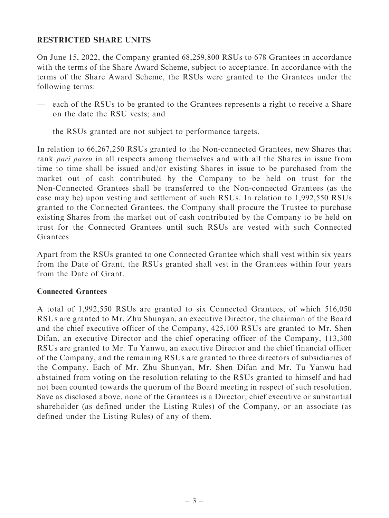#### RESTRICTED SHARE UNITS

On June 15, 2022, the Company granted 68,259,800 RSUs to 678 Grantees in accordance with the terms of the Share Award Scheme, subject to acceptance. In accordance with the terms of the Share Award Scheme, the RSUs were granted to the Grantees under the following terms:

- each of the RSUs to be granted to the Grantees represents a right to receive a Share on the date the RSU vests; and
- the RSUs granted are not subject to performance targets.

In relation to 66,267,250 RSUs granted to the Non-connected Grantees, new Shares that rank pari passu in all respects among themselves and with all the Shares in issue from time to time shall be issued and/or existing Shares in issue to be purchased from the market out of cash contributed by the Company to be held on trust for the Non-Connected Grantees shall be transferred to the Non-connected Grantees (as the case may be) upon vesting and settlement of such RSUs. In relation to 1,992,550 RSUs granted to the Connected Grantees, the Company shall procure the Trustee to purchase existing Shares from the market out of cash contributed by the Company to be held on trust for the Connected Grantees until such RSUs are vested with such Connected Grantees.

Apart from the RSUs granted to one Connected Grantee which shall vest within six years from the Date of Grant, the RSUs granted shall vest in the Grantees within four years from the Date of Grant.

#### Connected Grantees

A total of 1,992,550 RSUs are granted to six Connected Grantees, of which 516,050 RSUs are granted to Mr. Zhu Shunyan, an executive Director, the chairman of the Board and the chief executive officer of the Company, 425,100 RSUs are granted to Mr. Shen Difan, an executive Director and the chief operating officer of the Company, 113,300 RSUs are granted to Mr. Tu Yanwu, an executive Director and the chief financial officer of the Company, and the remaining RSUs are granted to three directors of subsidiaries of the Company. Each of Mr. Zhu Shunyan, Mr. Shen Difan and Mr. Tu Yanwu had abstained from voting on the resolution relating to the RSUs granted to himself and had not been counted towards the quorum of the Board meeting in respect of such resolution. Save as disclosed above, none of the Grantees is a Director, chief executive or substantial shareholder (as defined under the Listing Rules) of the Company, or an associate (as defined under the Listing Rules) of any of them.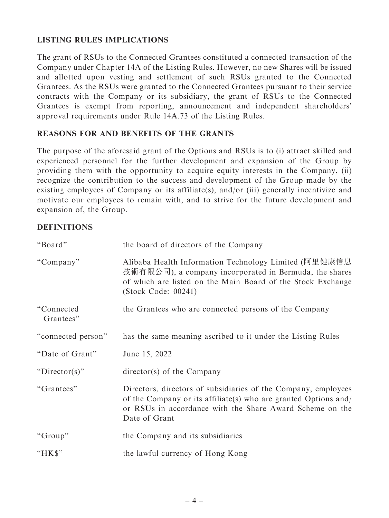### LISTING RULES IMPLICATIONS

The grant of RSUs to the Connected Grantees constituted a connected transaction of the Company under Chapter 14A of the Listing Rules. However, no new Shares will be issued and allotted upon vesting and settlement of such RSUs granted to the Connected Grantees. As the RSUs were granted to the Connected Grantees pursuant to their service contracts with the Company or its subsidiary, the grant of RSUs to the Connected Grantees is exempt from reporting, announcement and independent shareholders' approval requirements under Rule 14A.73 of the Listing Rules.

#### REASONS FOR AND BENEFITS OF THE GRANTS

The purpose of the aforesaid grant of the Options and RSUs is to (i) attract skilled and experienced personnel for the further development and expansion of the Group by providing them with the opportunity to acquire equity interests in the Company, (ii) recognize the contribution to the success and development of the Group made by the existing employees of Company or its affiliate(s), and/or (iii) generally incentivize and motivate our employees to remain with, and to strive for the future development and expansion of, the Group.

#### **DEFINITIONS**

| "Board"                 | the board of directors of the Company                                                                                                                                                                          |
|-------------------------|----------------------------------------------------------------------------------------------------------------------------------------------------------------------------------------------------------------|
| "Company"               | Alibaba Health Information Technology Limited (阿里健康信息<br>技術有限公司), a company incorporated in Bermuda, the shares<br>of which are listed on the Main Board of the Stock Exchange<br>(Stock Code: 00241)          |
| "Connected<br>Grantees" | the Grantees who are connected persons of the Company                                                                                                                                                          |
| "connected person"      | has the same meaning ascribed to it under the Listing Rules                                                                                                                                                    |
| "Date of Grant"         | June 15, 2022                                                                                                                                                                                                  |
| " $Directory$ "         | $\text{directory}(s)$ of the Company                                                                                                                                                                           |
| "Grantees"              | Directors, directors of subsidiaries of the Company, employees<br>of the Company or its affiliate(s) who are granted Options and/<br>or RSUs in accordance with the Share Award Scheme on the<br>Date of Grant |
| "Group"                 | the Company and its subsidiaries                                                                                                                                                                               |
| "HK\$"                  | the lawful currency of Hong Kong                                                                                                                                                                               |